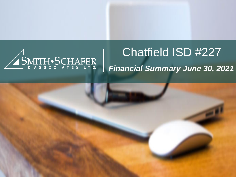

# Chatfield ISD #227 *Financial Summary June 30, 2021*

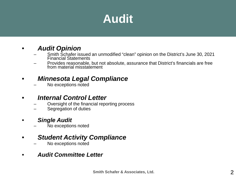# **Audit**

#### • *Audit Opinion*

- Smith Schafer issued an unmodified "clean" opinion on the District's June 30, 2021 Financial Statements
- Provides reasonable, but not absolute, assurance that District's financials are free from material misstatement

#### • *Minnesota Legal Compliance*

– No exceptions noted

#### • *Internal Control Letter*

- Oversight of the financial reporting process
- Segregation of duties

#### • *Single Audit*

No exceptions noted

#### • *Student Activity Compliance*

– No exceptions noted

#### • *Audit Committee Letter*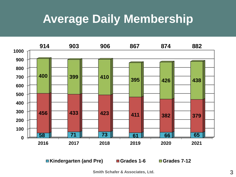## **Average Daily Membership**



**Kindergarten (and Pre) Grades 1-6 Grades 7-12**

**Smith Schafer & Associates, Ltd.**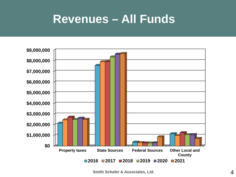#### **Revenues – All Funds**



**Smith Schafer & Associates, Ltd.**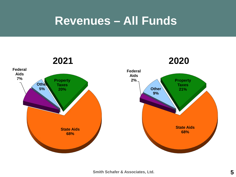### **Revenues – All Funds**

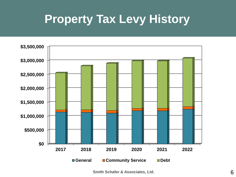## **Property Tax Levy History**



**Smith Schafer & Associates, Ltd.**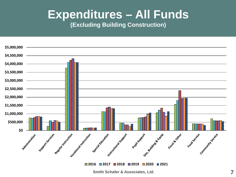# **Expenditures – All Funds**

#### **(Excluding Building Construction)**



**2016 2017 2018 2019 2020 2021**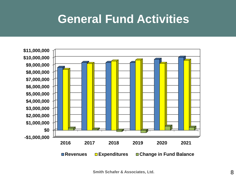### **General Fund Activities**

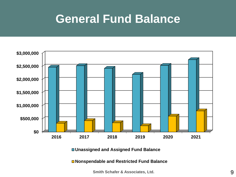### **General Fund Balance**



**Unassigned and Assigned Fund Balance**

**Nonspendable and Restricted Fund Balance**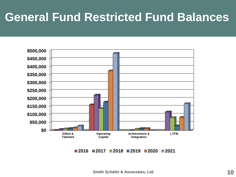# **General Fund Restricted Fund Balances**



**2016 2017 2018 2019 2020 2021**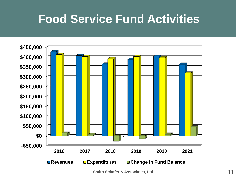### **Food Service Fund Activities**



**Smith Schafer & Associates, Ltd.**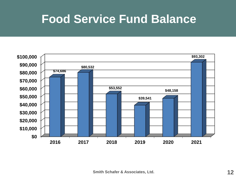### **Food Service Fund Balance**

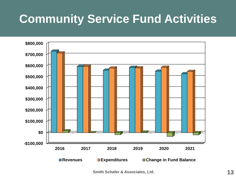# **Community Service Fund Activities**



**Smith Schafer & Associates, Ltd.**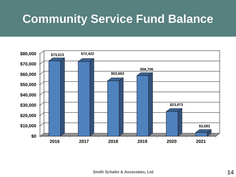# **Community Service Fund Balance**

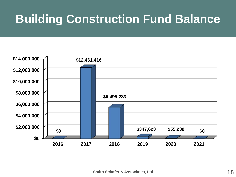# **Building Construction Fund Balance**

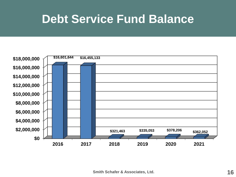### **Debt Service Fund Balance**

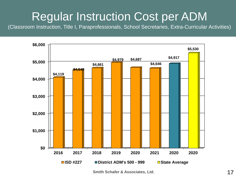### Regular Instruction Cost per ADM

(Classroom Instruction, Title I, Paraprofessionals, School Secretaries, Extra-Curricular Activities)



**Smith Schafer & Associates, Ltd.**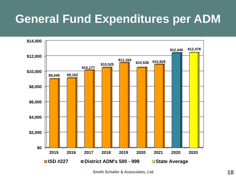# **General Fund Expenditures per ADM**



**Smith Schafer & Associates, Ltd.**